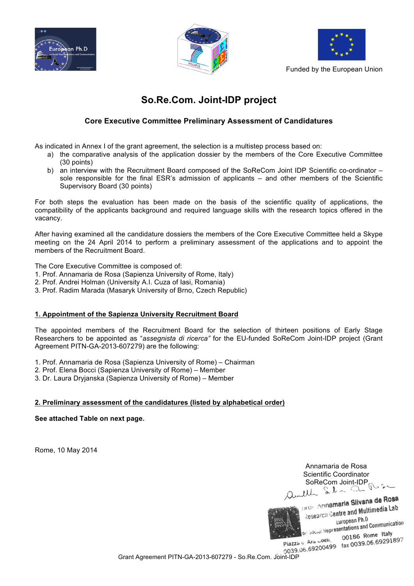





Funded by the European Union

## **So.Re.Com. Joint-IDP project**

## **Core Executive Committee Preliminary Assessment of Candidatures**

As indicated in Annex I of the grant agreement, the selection is a multistep process based on:

- a) the comparative analysis of the application dossier by the members of the Core Executive Committee (30 points)
- b) an interview with the Recruitment Board composed of the SoReCom Joint IDP Scientific co-ordinator sole responsible for the final ESR's admission of applicants – and other members of the Scientific Supervisory Board (30 points)

For both steps the evaluation has been made on the basis of the scientific quality of applications, the compatibility of the applicants background and required language skills with the research topics offered in the vacancy.

After having examined all the candidature dossiers the members of the Core Executive Committee held a Skype meeting on the 24 April 2014 to perform a preliminary assessment of the applications and to appoint the members of the Recruitment Board.

The Core Executive Committee is composed of:

- 1. Prof. Annamaria de Rosa (Sapienza University of Rome, Italy)
- 2. Prof. Andrei Holman (University A.I. Cuza of Iasi, Romania)
- 3. Prof. Radim Marada (Masaryk University of Brno, Czech Republic)

## **1. Appointment of the Sapienza University Recruitment Board**

The appointed members of the Recruitment Board for the selection of thirteen positions of Early Stage Researchers to be appointed as "*assegnista di ricerca"* for the EU-funded SoReCom Joint-IDP project (Grant Agreement PITN-GA-2013-607279) are the following:

- 1. Prof. Annamaria de Rosa (Sapienza University of Rome) Chairman
- 2. Prof. Elena Bocci (Sapienza University of Rome) Member
- 3. Dr. Laura Dryjanska (Sapienza University of Rome) Member

## **2. Preliminary assessment of the candidatures (listed by alphabetical order)**

**See attached Table on next page.** 

Rome, 10 May 2014

Annamaria de Rosa Scientific Coordinator SoReCom Joint-IDP R



*COMPANY Annamaria Silvana de Rosa ROL Annamaria Silvana de Company*<br>Research Gentre and Multimedia Lab European Ph.D European Ph.D<br>Declared Representations and Communication 00186 Rome Italy

Grant Agreement PITN-GA-2013-607279 - So.Re.Com. Joint-IDP<br>Grant Agreement PITN-GA-2013-607279 - So.Re.Com. Joint-IDP